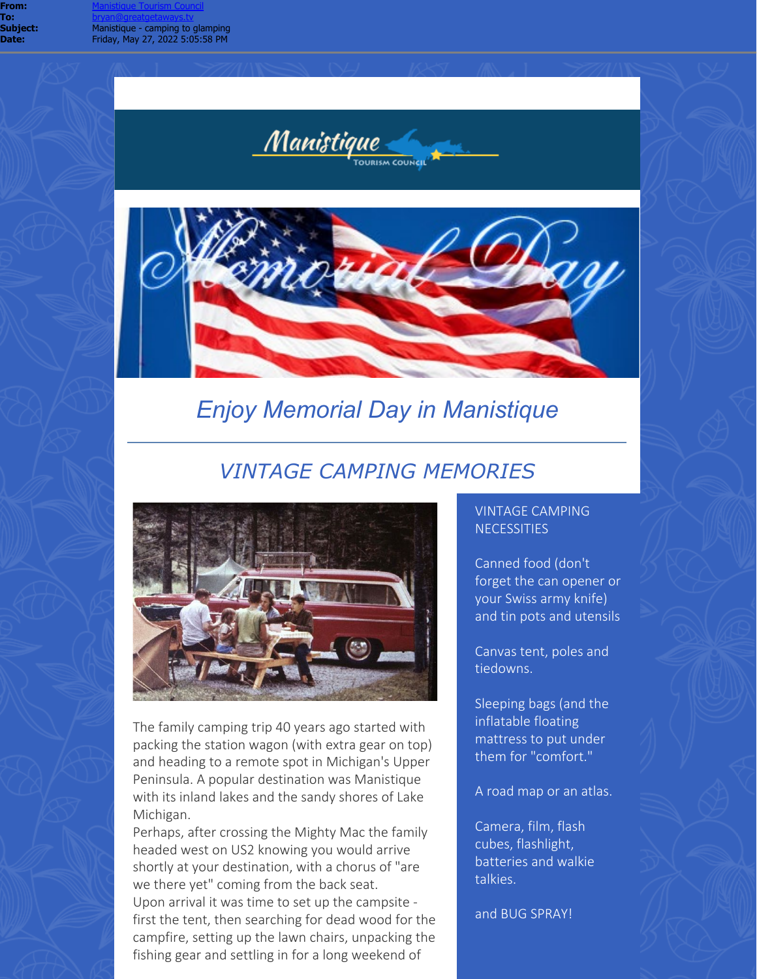

**IRISM COUNCIL** 

Manistique

# *Enjoy Memorial Day in Manistique*

## *VINTAGE CAMPING MEMORIES*



The family camping trip 40 years ago started with packing the station wagon (with extra gear on top) and heading to a remote spot in Michigan's Upper Peninsula. A popular destination was Manistique with its inland lakes and the sandy shores of Lake Michigan.

Perhaps, after crossing the Mighty Mac the family headed west on US2 knowing you would arrive shortly at your destination, with a chorus of "are we there yet" coming from the back seat. Upon arrival it was time to set up the campsite first the tent, then searching for dead wood for the campfire, setting up the lawn chairs, unpacking the fishing gear and settling in for a long weekend of

## VINTAGE CAMPING **NECESSITIES**

Canned food (don't forget the can opener or your Swiss army knife) and tin pots and utensils

Canvas tent, poles and tiedowns.

Sleeping bags (and the inflatable floating mattress to put under them for "comfort."

A road map or an atlas.

Camera, film, flash cubes, flashlight, batteries and walkie talkies.

and BUG SPRAY!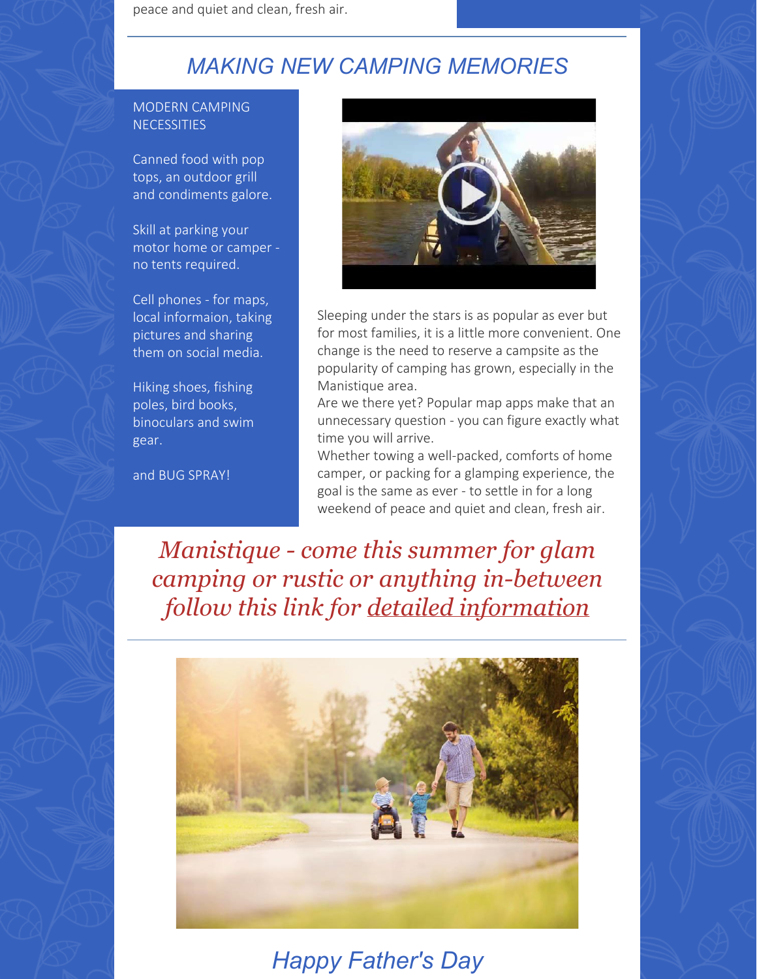peace and quiet and clean, fresh air.

# *MAKING NEW CAMPING MEMORIES*

#### MODERN CAMPING **NECESSITIES**

Canned food with pop tops, an outdoor grill and condiments galore.

Skill at parking your motor home or camper no tents required.

Cell phones - for maps, local informaion, taking pictures and sharing them on social media.

Hiking shoes, fishing poles, bird books, binoculars and swim gear.

and BUG SPRAY!



Sleeping under the stars is as popular as ever but for most families, it is a little more convenient. One change is the need to reserve a campsite as the popularity of camping has grown, especially in the Manistique area.

Are we there yet? Popular map apps make that an unnecessary question - you can figure exactly what time you will arrive.

Whether towing a well-packed, comforts of home camper, or packing for a glamping experience, the goal is the same as ever - to settle in for a long weekend of peace and quiet and clean, fresh air.

*Manistique - come this summer for glam camping or rustic or anything in-between follow this link for [detailed information](https://r20.rs6.net/tn.jsp?f=001M1_2iGDjQRLFESo2ewYkPR4AGZSWMBXI0NFhAMWIzgdfF5LVsT-x2iX2VRitFH2Ey_fOeaQ-6dyYYhI7su9QJ0yUVC0hj192rzIX1cl_BWeeCWdKlNd4NVrJEDuZajsJ7R21yneNtB-_SCh2QJeTNQB-XPetDikYdLvpK-Mh_7s=&c=wdsr9X4LXo_J01UnTfQ08yb7Idyt4193XqPmK5UdVbsT_KOhGpImxg==&ch=LvCnxkznFnlU2alsW5U-faP1ZLKoD6j7uI8ZmZg8Rlu0nn2fWzD_6g==)*



*Happy Father's Day*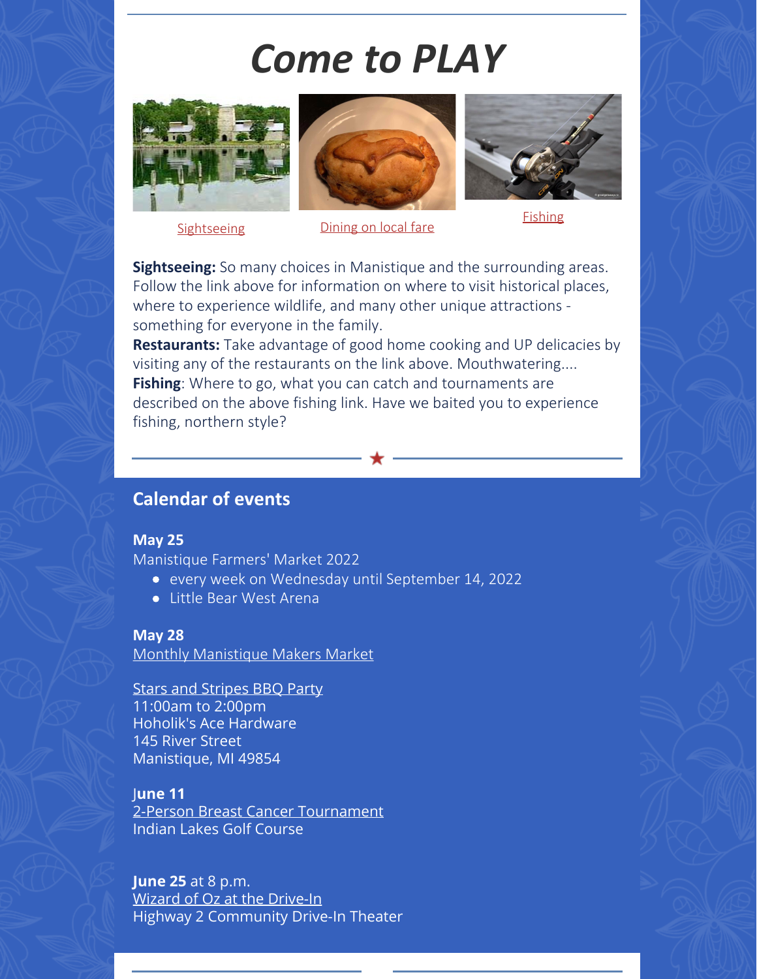# *Come to PLAY*







[Sightseeing](https://r20.rs6.net/tn.jsp?f=001M1_2iGDjQRLFESo2ewYkPR4AGZSWMBXI0NFhAMWIzgdfF5LVsT-x2uP-tlU0rWhwk9pcjIrZoBrqHZvyWJeDaJcuB4BWahe8sw1invH5Cb4Mx6OztnB1kX_GH1BYHxtxLdX9CLE9w7EwJ9Cy9IRdVwjtKWLo1yEW35ZMMpqK6vMzR5Memwq7Ng==&c=wdsr9X4LXo_J01UnTfQ08yb7Idyt4193XqPmK5UdVbsT_KOhGpImxg==&ch=LvCnxkznFnlU2alsW5U-faP1ZLKoD6j7uI8ZmZg8Rlu0nn2fWzD_6g==) [Dining on local fare](https://r20.rs6.net/tn.jsp?f=001M1_2iGDjQRLFESo2ewYkPR4AGZSWMBXI0NFhAMWIzgdfF5LVsT-x2or0d4dZ_ucJEMG7MryMxYPYEE_5xi03hdb6fNh4D-Cs4Ho47oB4z39ciYlKUgeozmR07rGF3AZyXrYEAVRptOTTkoP5DRRsfaihTdT8GUp7IILB4YYFCCA=&c=wdsr9X4LXo_J01UnTfQ08yb7Idyt4193XqPmK5UdVbsT_KOhGpImxg==&ch=LvCnxkznFnlU2alsW5U-faP1ZLKoD6j7uI8ZmZg8Rlu0nn2fWzD_6g==) [Fishing](https://r20.rs6.net/tn.jsp?f=001M1_2iGDjQRLFESo2ewYkPR4AGZSWMBXI0NFhAMWIzgdfF5LVsT-x2k64bQBmtRQTupA13epgfoIdYf5XcP_Ol4aTAsWFr7JSZEZlN2gEcw-p-QLD_S1Yah5fbHTV7UvojDamxMhvkEEOdd3q0NGLC9Zq2j58qFHBjyIKXtAhLMA=&c=wdsr9X4LXo_J01UnTfQ08yb7Idyt4193XqPmK5UdVbsT_KOhGpImxg==&ch=LvCnxkznFnlU2alsW5U-faP1ZLKoD6j7uI8ZmZg8Rlu0nn2fWzD_6g==)

**Sightseeing:** So many choices in Manistique and the surrounding areas. Follow the link above for information on where to visit historical places, where to experience wildlife, and many other unique attractions something for everyone in the family.

**Restaurants:** Take advantage of good home cooking and UP delicacies by visiting any of the restaurants on the link above. Mouthwatering.... **Fishing**: Where to go, what you can catch and tournaments are described on the above fishing link. Have we baited you to experience fishing, northern style?

## **Calendar of events**

## **May 25**

[Manistique Farmers' Market 2022](https://r20.rs6.net/tn.jsp?f=001M1_2iGDjQRLFESo2ewYkPR4AGZSWMBXI0NFhAMWIzgdfF5LVsT-x2v5WTccf3AdkhgJxi9xcCTYUFIlOuPs4IBoGtBKy5AU896p7HEkp1Lk2QTqYUo98-8XpijvlxyF3auzIdRNtsUAonLcWgb7YHwg6FRQlJXWiSILs73ozyIjSLACi4GZ1MnK8qw9Zs-TkKgVocsGG3FojUTYZ_iVWQg==&c=wdsr9X4LXo_J01UnTfQ08yb7Idyt4193XqPmK5UdVbsT_KOhGpImxg==&ch=LvCnxkznFnlU2alsW5U-faP1ZLKoD6j7uI8ZmZg8Rlu0nn2fWzD_6g==)

- every week on Wednesday until September 14, 2022
- Little Bear West Arena

## **May 28**

[Monthly Manistique Makers Market](https://r20.rs6.net/tn.jsp?f=001M1_2iGDjQRLFESo2ewYkPR4AGZSWMBXI0NFhAMWIzgdfF5LVsT-x2qxwsmxt99uJhN302vgwUl1Ujvsl9QFBIaX9X-_6lDhwbo1uh5MnAnD5rQt345c3VpezFgQl2Sp-t7ZjdLffk_ovVun0O43ueqsF5s2pqKgFNp1EJ5bPH0M=&c=wdsr9X4LXo_J01UnTfQ08yb7Idyt4193XqPmK5UdVbsT_KOhGpImxg==&ch=LvCnxkznFnlU2alsW5U-faP1ZLKoD6j7uI8ZmZg8Rlu0nn2fWzD_6g==)

[Stars and Stripes BBQ Party](https://r20.rs6.net/tn.jsp?f=001M1_2iGDjQRLFESo2ewYkPR4AGZSWMBXI0NFhAMWIzgdfF5LVsT-x2gZ4dWTIgAsLB8wnqBl487AXE8qwr1g-NhPge619WkpSLWgSVVlQYYpDXDaVuPrEWhYi-utrDym4Hg7HNC-tes-kOHEWclZkRoDs5gEefc6VvdG6N8v3uj8YOoycUeZNfGFwqk0ANtOpobHrPn-MsQVLI73cjUdfeTGZFr-7S0pb-vXvfMToLFM=&c=wdsr9X4LXo_J01UnTfQ08yb7Idyt4193XqPmK5UdVbsT_KOhGpImxg==&ch=LvCnxkznFnlU2alsW5U-faP1ZLKoD6j7uI8ZmZg8Rlu0nn2fWzD_6g==) 11:00am to 2:00pm Hoholik's Ace Hardware 145 River Street [Manistique,](https://r20.rs6.net/tn.jsp?f=001M1_2iGDjQRLFESo2ewYkPR4AGZSWMBXI0NFhAMWIzgdfF5LVsT-x2gZ4dWTIgAsLs3GlJw8EKcGo-ztjcb3_HVU9bTmOtgTr9OfEUppl_y0FpHGKdC1Xa3wW3_JZ80u4XcqFoRuM3SoM-FI5uqAaGQwVJP6jBZStWt6vbDz8p54=&c=wdsr9X4LXo_J01UnTfQ08yb7Idyt4193XqPmK5UdVbsT_KOhGpImxg==&ch=LvCnxkznFnlU2alsW5U-faP1ZLKoD6j7uI8ZmZg8Rlu0nn2fWzD_6g==) MI 49854

## J**une 11**

[2-Person Breast Cancer Tournament](https://r20.rs6.net/tn.jsp?f=001M1_2iGDjQRLFESo2ewYkPR4AGZSWMBXI0NFhAMWIzgdfF5LVsT-x2gZ4dWTIgAsLF9ZanBIQeLo7dg3k8we4cZZ1lyeHeoFnqOz9wPgcSv2ZRsczM2afgiDesMEW1aulLvhKlRVghQPhR5meLmJKel_d1n2reMAcT7-phl-M5E5UP43ZfkP4huGlt_yVuNlAKYJRtdLJcmhkwyzamdVs4HJ3OyHbTopQSl3D_jsLt_A=&c=wdsr9X4LXo_J01UnTfQ08yb7Idyt4193XqPmK5UdVbsT_KOhGpImxg==&ch=LvCnxkznFnlU2alsW5U-faP1ZLKoD6j7uI8ZmZg8Rlu0nn2fWzD_6g==) Indian Lakes Golf Course

**June 25** at 8 p.m. [Wizard of Oz at the Drive-In](https://r20.rs6.net/tn.jsp?f=001M1_2iGDjQRLFESo2ewYkPR4AGZSWMBXI0NFhAMWIzgdfF5LVsT-x2gZ4dWTIgAsLm9tCPn5RctU2qc4lqVXFZn3bSn8Hx_gx4Do_cHTxvSKBtcSRgqh4cyVghaRuUXokfTRGMmgHbeZrUQ6jbO0Zz8vNBLWQsUemtHf6H8lwfNWrr2PGmj22mahVJKNgcj1reU6XpQnxb_N2NrvkdIm5m4DGiy2ActlH9lT6elPONTcrRK6TRuqe4QaOZyIaV9XUYXC9GBrqt1bFwv67fVLfog==&c=wdsr9X4LXo_J01UnTfQ08yb7Idyt4193XqPmK5UdVbsT_KOhGpImxg==&ch=LvCnxkznFnlU2alsW5U-faP1ZLKoD6j7uI8ZmZg8Rlu0nn2fWzD_6g==) Highway 2 Community Drive-In Theater